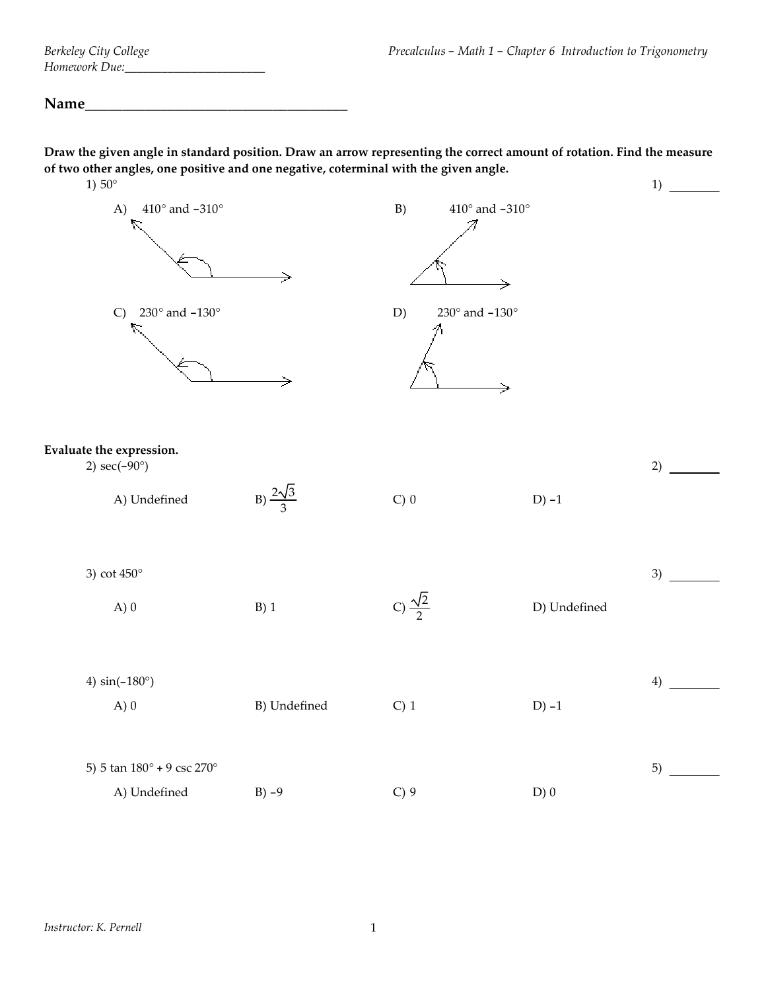## Name

Draw the given angle in standard position. Draw an arrow representing the correct amount of rotation. Find the measure **of two other angles, one positive and one negative, coterminal with the given angle.**  $1$ )  $50^\circ$  $\overline{1}$ 

| $1)50^{\circ}$                                    |                                       |                          |                         |                                       |              | $_{1}$ |
|---------------------------------------------------|---------------------------------------|--------------------------|-------------------------|---------------------------------------|--------------|--------|
| A)                                                | $410^{\circ}$ and $-310^{\circ}$<br>R |                          | B)                      | $410^{\circ}$ and $-310^{\circ}$<br>→ |              |        |
| C)                                                | $230^{\circ}$ and $-130^{\circ}$<br>R |                          | D)                      | $230^{\circ}$ and $-130^{\circ}$<br>→ |              |        |
| Evaluate the expression.<br>2) $sec(-90^{\circ})$ |                                       |                          |                         |                                       |              | 2)     |
|                                                   | A) Undefined                          | B) $\frac{2\sqrt{3}}{3}$ | $C$ ) 0                 |                                       | $D$ ) -1     |        |
| 3) cot $450^\circ$                                |                                       |                          |                         |                                       |              | 3)     |
|                                                   | A)0                                   | $B)$ 1                   | C) $\frac{\sqrt{2}}{2}$ |                                       | D) Undefined |        |
| 4) $sin(-180^{\circ})$                            |                                       |                          |                         |                                       |              | 4)     |
|                                                   | A)0                                   | B) Undefined             | $C)$ 1                  |                                       | $D) -1$      |        |
|                                                   | 5) 5 tan 180° + 9 csc 270°            |                          |                         |                                       |              | 5)     |
|                                                   | A) Undefined                          | $B) -9$                  | $C$ ) 9                 |                                       | D)0          |        |
|                                                   |                                       |                          |                         |                                       |              |        |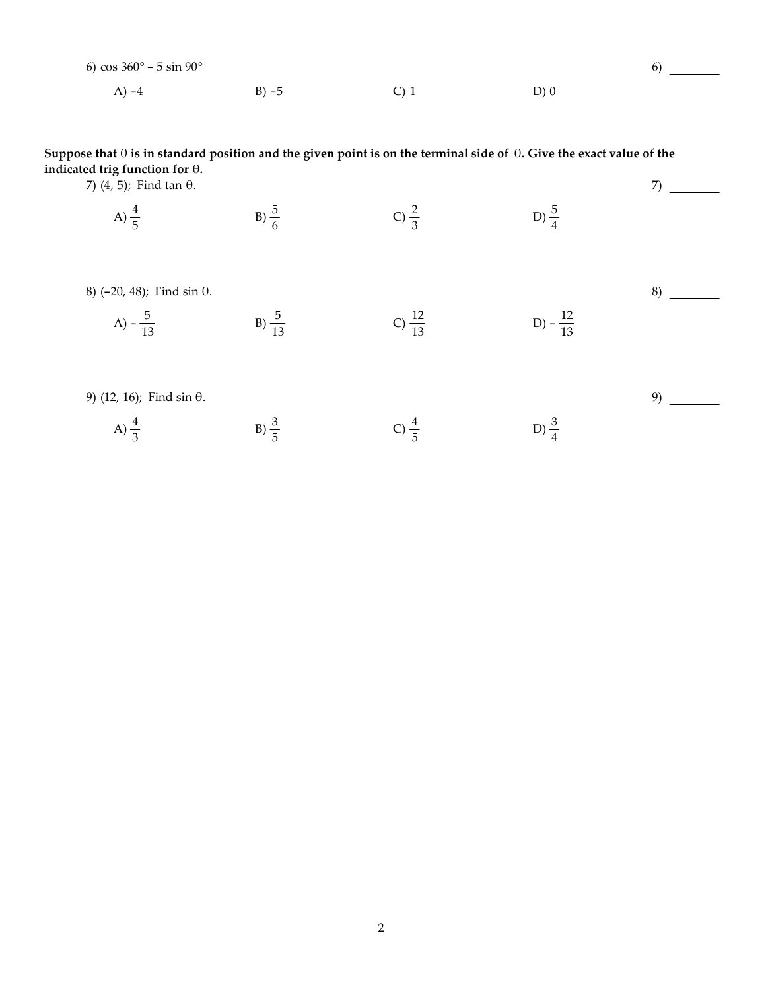| 6) cos $360^{\circ} - 5 \sin 90^{\circ}$ |          |         |      |  |
|------------------------------------------|----------|---------|------|--|
| A) $-4$                                  | $B) - 5$ | $C$ ) 1 | D(0) |  |

Suppose that  $\theta$  is in standard position and the given point is on the terminal side of  $\theta$ . Give the exact value of the indicated trig function for  $\theta$ .  $7) \begin{tabular}{c} \multicolumn{2}{c} {\textbf{1}} \\ \multicolumn{2}{c} {\textbf{2}} \\ \multicolumn{2}{c} {\textbf{3}} \\ \multicolumn{2}{c} {\textbf{4}} \\ \multicolumn{2}{c} {\textbf{5}} \\ \multicolumn{2}{c} {\textbf{6}} \\ \multicolumn{2}{c} {\textbf{7}} \\ \multicolumn{2}{c} {\textbf{8}} \\ \multicolumn{2}{c} {\textbf{9}} \\ \multicolumn{2}{c} {\textbf{1}} \\ \multicolumn{2}{c} {\textbf{1}} \\ \multicolumn{2}{c} {\textbf{1}} \\ \multicolumn{2}{c} {\textbf{1}} \\ \mult$ 

7)  $(4, 5)$ ; Find tan  $\theta$ .

C)  $\frac{2}{3}$ B)  $\frac{5}{6}$ D)  $\frac{5}{4}$ A)  $\frac{4}{5}$ 

8)  $(-20, 48)$ ; Find sin  $\theta$ .

A) 
$$
-\frac{5}{13}
$$
 \t\t B)  $\frac{5}{13}$  \t\t C)  $\frac{12}{13}$  \t\t D)  $-\frac{12}{13}$ 

 $9)$  — 9) (12, 16); Find  $\sin \theta$ . B)  $\frac{3}{5}$ C)  $\frac{4}{5}$ D)  $\frac{3}{4}$ A)  $\frac{4}{3}$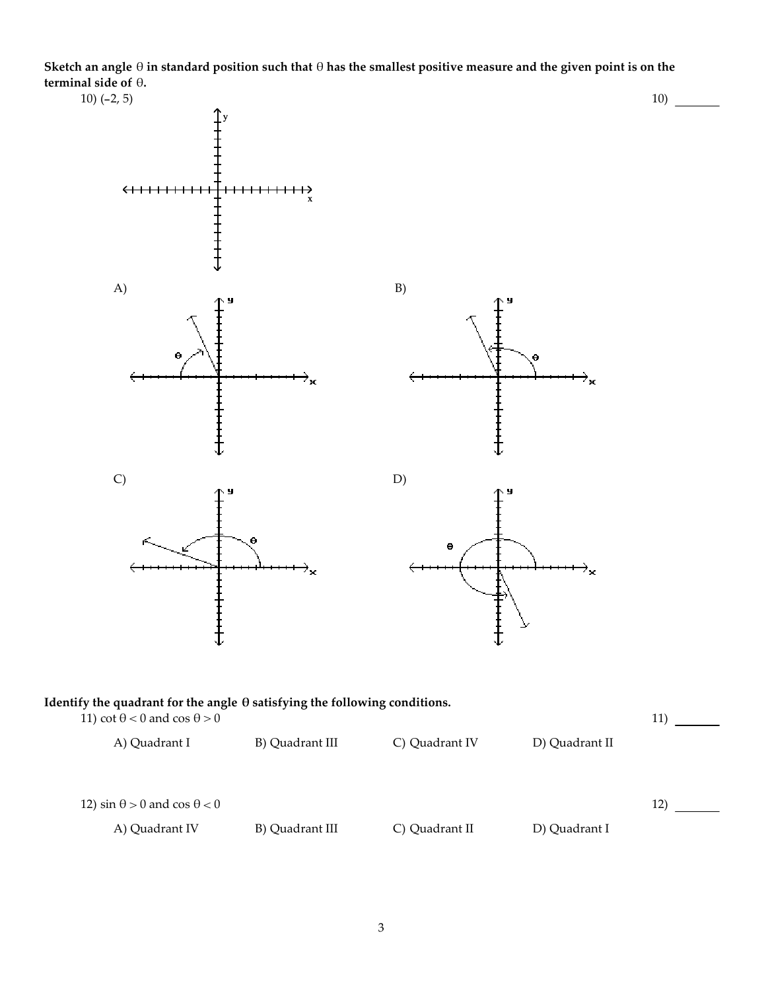Sketch an angle  $\theta$  in standard position such that  $\theta$  has the smallest positive measure and the given point is on the **terminal side of** Ό**.**

10) (-2, 5)

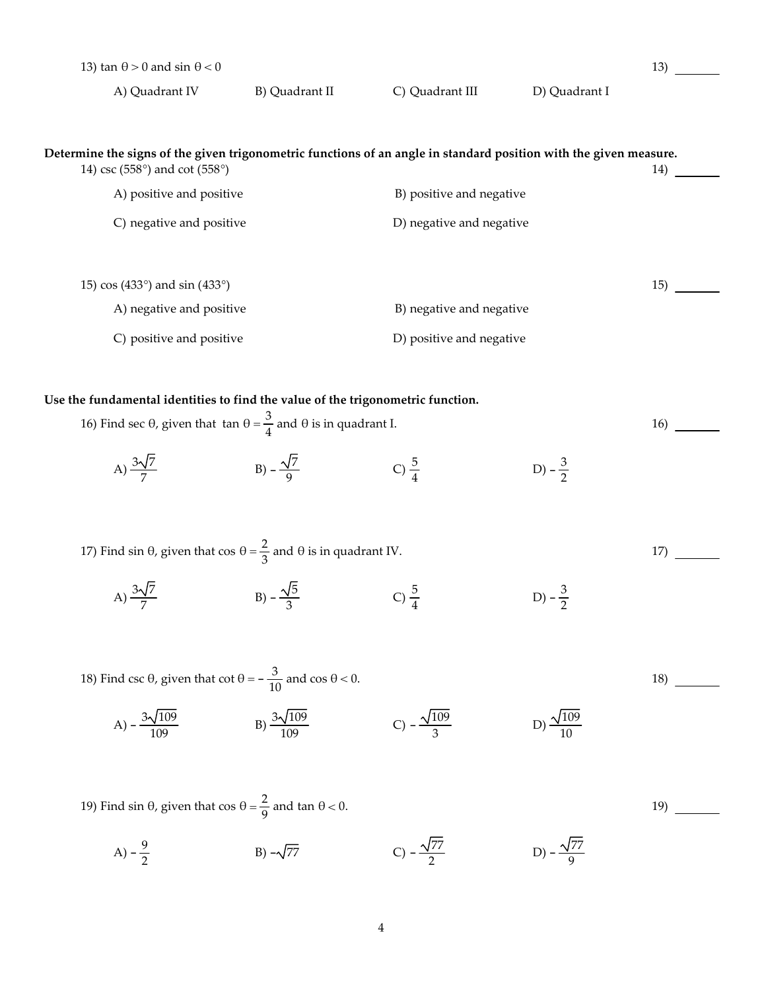| 13) $\tan \theta > 0$ and $\sin \theta < 0$ |                                                                                                                                                                                               |                            |                            | 13) |  |
|---------------------------------------------|-----------------------------------------------------------------------------------------------------------------------------------------------------------------------------------------------|----------------------------|----------------------------|-----|--|
| A) Quadrant IV                              | B) Quadrant II                                                                                                                                                                                | C) Quadrant III            | D) Quadrant I              |     |  |
| 14) csc (558°) and cot (558°)               | Determine the signs of the given trigonometric functions of an angle in standard position with the given measure.                                                                             |                            |                            | 14) |  |
| A) positive and positive                    |                                                                                                                                                                                               | B) positive and negative   |                            |     |  |
| C) negative and positive                    |                                                                                                                                                                                               | D) negative and negative   |                            |     |  |
| 15) $\cos(433^\circ)$ and $\sin(433^\circ)$ |                                                                                                                                                                                               |                            |                            | 15) |  |
| A) negative and positive                    |                                                                                                                                                                                               |                            | B) negative and negative   |     |  |
| C) positive and positive                    |                                                                                                                                                                                               | D) positive and negative   |                            |     |  |
| A) $\frac{3\sqrt{7}}{7}$                    | Use the fundamental identities to find the value of the trigonometric function.<br>16) Find sec θ, given that $\tan \theta = \frac{3}{4}$ and θ is in quadrant I.<br>B) $-\frac{\sqrt{7}}{9}$ | C) $\frac{5}{4}$           | D) $-\frac{3}{2}$          | 16) |  |
| A) $\frac{3\sqrt{7}}{7}$                    | 17) Find sin $\theta$ , given that cos $\theta = \frac{2}{3}$ and $\theta$ is in quadrant IV.<br>B) $-\frac{\sqrt{5}}{3}$                                                                     | C) $\frac{5}{4}$           | D) $-\frac{3}{2}$          | 17) |  |
| A) $-\frac{3\sqrt{109}}{109}$               | 18) Find csc θ, given that cot $θ = -\frac{3}{10}$ and cos $θ < 0$ .<br>B) $\frac{3\sqrt{109}}{100}$                                                                                          | C) $-\frac{\sqrt{109}}{2}$ | D) $\frac{\sqrt{109}}{10}$ | 18) |  |
|                                             | 19) Find sin $\theta$ , given that $\cos \theta = \frac{2}{9}$ and $\tan \theta < 0$ .                                                                                                        |                            |                            | 19) |  |

13)

14)

15)

16)

17)

18)

19)

A)  $-\frac{9}{2}$  B)  $-\sqrt{77}$  C)  $-\frac{\sqrt{77}}{2}$  $\frac{177}{2}$  D)  $-\frac{\sqrt{77}}{9}$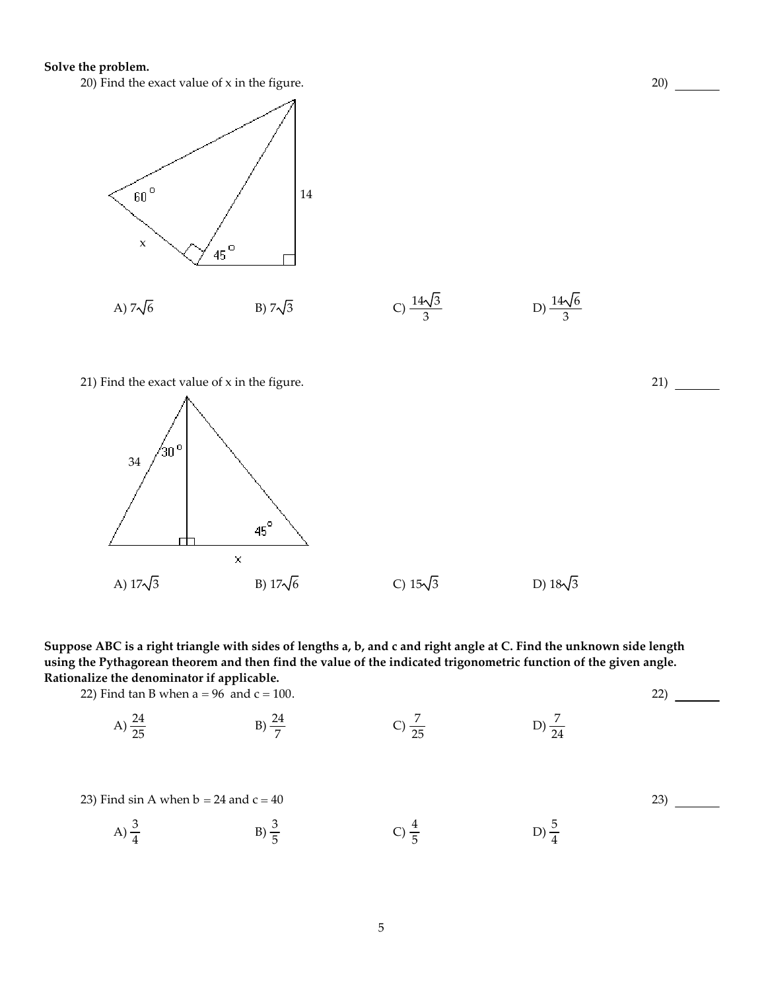## **Solve the problem.**



20)

21)

22)

23)

21) Find the exact value of x in the figure.



Suppose ABC is a right triangle with sides of lengths a, b, and c and right angle at C. Find the unknown side length using the Pythagorean theorem and then find the value of the indicated trigonometric function of the given angle. **Rationalize the denominator if applicable.**

22) Find tan B when  $a = 96$  and  $c = 100$ .

A) 
$$
\frac{24}{25}
$$
 \t\t B)  $\frac{24}{7}$  \t\t C)  $\frac{7}{25}$  \t\t D)  $\frac{7}{24}$ 

23) Find sin A when  $b = 24$  and  $c = 40$ 

A)  $\frac{3}{4}$  $B) \frac{3}{5}$ C)  $\frac{4}{5}$  $\frac{4}{5}$  D)  $\frac{5}{4}$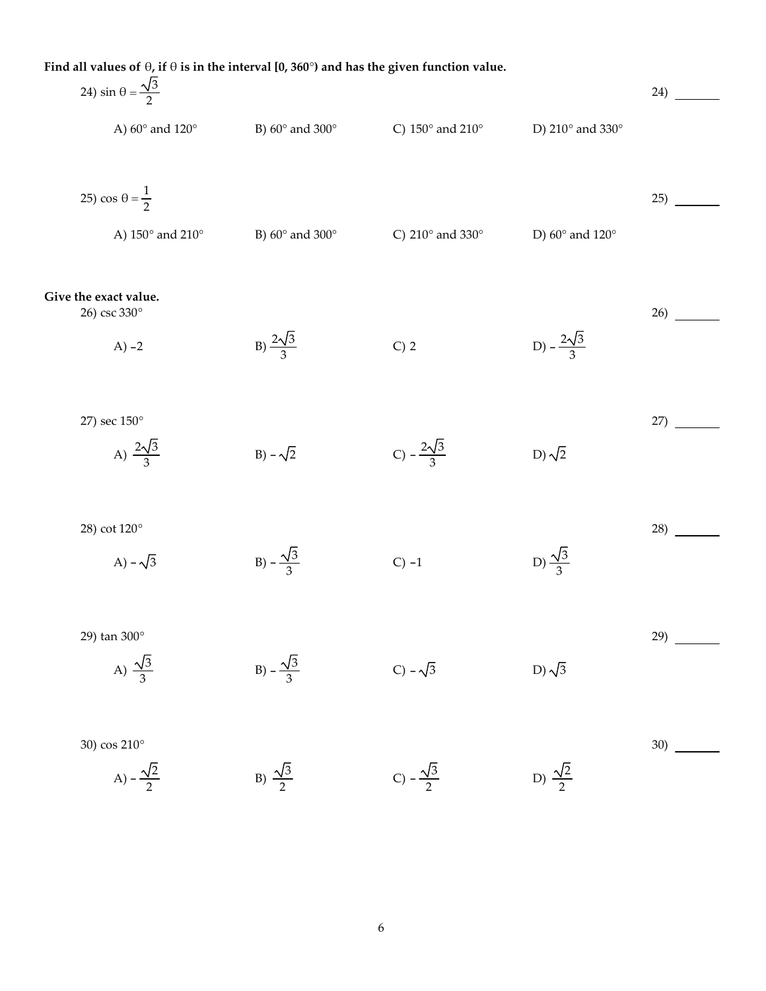| Find all values of $\theta$ , if $\theta$ is in the interval [0, 360°) and has the given function value. |                               |                                      |                               |     |  |  |
|----------------------------------------------------------------------------------------------------------|-------------------------------|--------------------------------------|-------------------------------|-----|--|--|
| 24) sin $\theta = \frac{\sqrt{3}}{2}$                                                                    |                               |                                      |                               | 24) |  |  |
| A) $60^\circ$ and $120^\circ$                                                                            | B) $60^\circ$ and $300^\circ$ | C) $150^\circ$ and $210^\circ$       | D) 210° and 330°              |     |  |  |
| 25) cos $\theta = \frac{1}{2}$                                                                           |                               |                                      |                               | 25) |  |  |
| A) 150° and 210°                                                                                         | B) $60^\circ$ and $300^\circ$ | C) 210 $^{\circ}$ and 330 $^{\circ}$ | D) $60^\circ$ and $120^\circ$ |     |  |  |
| Give the exact value.<br>26) csc 330°                                                                    |                               |                                      |                               | 26) |  |  |
| $A) -2$                                                                                                  | B) $\frac{2\sqrt{3}}{3}$      | $C)$ 2                               | D) $-\frac{2\sqrt{3}}{3}$     |     |  |  |
| 27) sec 150°                                                                                             |                               |                                      |                               | 27) |  |  |
| A) $\frac{2\sqrt{3}}{3}$                                                                                 | B) $-\sqrt{2}$                | C) $-\frac{2\sqrt{3}}{3}$            | D) $\sqrt{2}$                 |     |  |  |
| 28) cot 120°                                                                                             |                               |                                      |                               | 28) |  |  |
| A) – $\sqrt{3}$                                                                                          | B) $-\frac{\sqrt{3}}{3}$      | $C$ ) -1                             | D) $\frac{\sqrt{3}}{3}$       |     |  |  |
| 29) tan 300°                                                                                             |                               |                                      |                               | 29) |  |  |
| A) $\frac{\sqrt{3}}{3}$                                                                                  | B) $-\frac{\sqrt{3}}{3}$      | $C$ ) – $\sqrt{3}$                   | D) $\sqrt{3}$                 |     |  |  |
| 30) cos 210°                                                                                             |                               |                                      |                               | 30) |  |  |
| A) $-\frac{\sqrt{2}}{2}$                                                                                 | B) $\frac{\sqrt{3}}{2}$       | C) $-\frac{\sqrt{3}}{2}$             | D) $\frac{\sqrt{2}}{2}$       |     |  |  |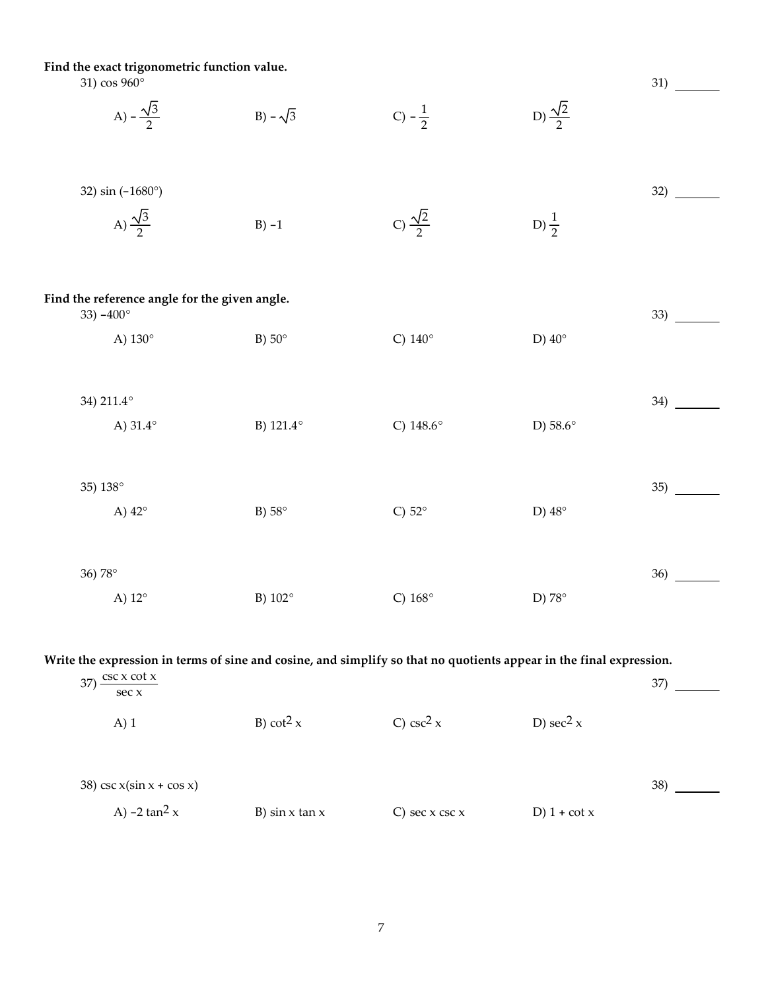**Find the exact trigonometric function value.**

| 31) $\cos 960^\circ$<br>A) $-\frac{\sqrt{3}}{2}$                               | B) $-\sqrt{3}$ | $C) - \frac{1}{2}$      | D) $\frac{\sqrt{2}}{2}$ | 31) |
|--------------------------------------------------------------------------------|----------------|-------------------------|-------------------------|-----|
| 32) sin (-1680°)<br>A) $\frac{\sqrt{3}}{2}$                                    | $B) -1$        | C) $\frac{\sqrt{2}}{2}$ | D) $\frac{1}{2}$        | 32) |
| Find the reference angle for the given angle.<br>33) $-400^{\circ}$<br>A) 130° | B) $50^\circ$  | C) $140^\circ$          | D) $40^\circ$           | 33) |
| 34) 211.4°<br>A) $31.4^\circ$                                                  | B) 121.4°      | C) $148.6^{\circ}$      | D) 58.6°                | 34) |
| 35) 138°<br>A) 42°                                                             | B) $58^\circ$  | C) $52^\circ$           | D) $48^\circ$           | 35) |
| 36) 78°<br>A) 12°                                                              | B) $102^\circ$ | C) $168^\circ$          | D) 78°                  | 36) |

Write the expression in terms of sine and cosine, and simplify so that no quotients appear in the final expression.

| $\csc x \cot x$<br>37)<br>sec x |                       |                       |                         | 37) |
|---------------------------------|-----------------------|-----------------------|-------------------------|-----|
| $A)$ 1                          | B) cot <sup>2</sup> x | C) csc <sup>2</sup> x | D) sec <sup>2</sup> $x$ |     |
|                                 |                       |                       |                         |     |
| 38) csc $x(\sin x + \cos x)$    |                       |                       |                         | 38) |
| A) $-2 \tan^2 x$                | B) $\sin x \tan x$    | C) sec $x$ csc $x$    | D) $1 + \cot x$         |     |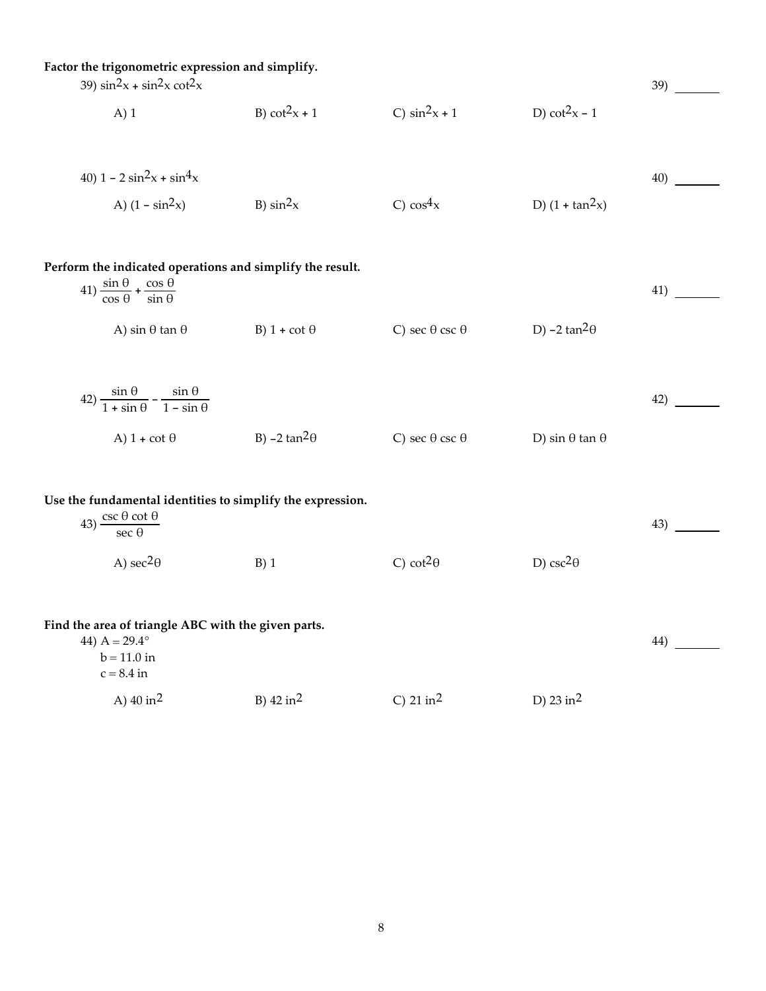| Factor the trigonometric expression and simplify.<br>39) $\sin^2 x + \sin^2 x \cot^2 x$                                          |                       |                                        |                              |     |
|----------------------------------------------------------------------------------------------------------------------------------|-----------------------|----------------------------------------|------------------------------|-----|
| $A)$ 1                                                                                                                           | B) $cot^2x + 1$       | C) $\sin^2 x + 1$                      | D) $cot2x - 1$               |     |
| 40) $1 - 2 \sin^2 x + \sin^4 x$                                                                                                  |                       |                                        |                              | 40) |
| A) $(1 - \sin^2 x)$                                                                                                              | B) $\sin^2 x$         | C) $\cos^4 x$                          | D) $(1 + tan^2x)$            |     |
| Perform the indicated operations and simplify the result.<br>$(41)\frac{\sin\theta}{\cos\theta} + \frac{\cos\theta}{\sin\theta}$ |                       |                                        |                              | 41) |
| A) sin $\theta$ tan $\theta$                                                                                                     | B) $1 + \cot \theta$  | C) sec $\theta$ csc $\theta$           | D) $-2 \tan^2 \theta$        |     |
| $(42)\frac{\sin\theta}{1+\sin\theta}-\frac{\sin\theta}{1-\sin\theta}$                                                            |                       |                                        |                              | 42) |
| A) $1 + \cot \theta$                                                                                                             | B) $-2 \tan^2 \theta$ | C) sec $\theta$ csc $\theta$           | D) sin $\theta$ tan $\theta$ |     |
| Use the fundamental identities to simplify the expression.<br>43) $\frac{\csc \theta \cot \theta}{\sec \theta}$                  |                       |                                        |                              | 43) |
| A) $\sec^2\theta$                                                                                                                | $B)$ 1                | C) cot <sup>2<math>\theta</math></sup> | D) csc <sup>2</sup> $\theta$ |     |
| Find the area of triangle ABC with the given parts.<br>44) $A = 29.4^\circ$<br>$b = 11.0$ in<br>$c = 8.4$ in                     |                       |                                        |                              |     |
| A) $40 \text{ in}^2$                                                                                                             | B) $42 \text{ in}^2$  | C) $21 \text{ in}^2$                   | D) 23 in <sup>2</sup>        |     |